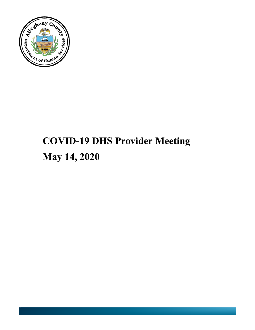

# **COVID-19 DHS Provider Meeting May 14, 2020**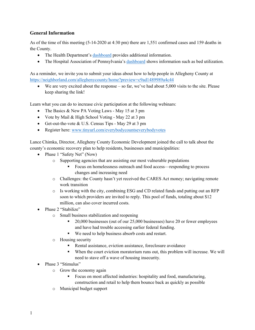# **General Information**

As of the time of this meeting (5-14-2020 at 4:30 pm) there are 1,551 confirmed cases and 159 deaths in the County.

- The Health Department's dashboard provides additional information.
- The Hospital Association of Pennsylvania's dashboard shows information such as bed utilization.

As a reminder, we invite you to submit your ideas about how to help people in Allegheny County at https://neighborland.com/alleghenycounty/home?preview=c9ad1489989a4c44

• We are very excited about the response – so far, we've had about 5,000 visits to the site. Please keep sharing the link!

Learn what you can do to increase civic participation at the following webinars:

- The Basics & New PA Voting Laws May 15 at 3 pm
- Vote by Mail & High School Voting May 22 at 3 pm
- Get-out-the-vote & U.S. Census Tips May 29 at 3 pm
- Register here: www.tinyurl.com/everybodycountseverybodyvotes

Lance Chimka, Director, Allegheny County Economic Development joined the call to talk about the county's economic recovery plan to help residents, businesses and municipalities:

- Phase 1 "Safety Net" (Now)
	- o Supporting agencies that are assisting our most vulnerable populations
		- Focus on homelessness outreach and food access—responding to process changes and increasing need
	- o Challenges: the County hasn't yet received the CARES Act money; navigating remote work transition
	- o Is working with the city, combining ESG and CD related funds and putting out an RFP soon to which providers are invited to reply. This pool of funds, totaling about \$12 million, can also cover incurred costs.
- Phase 2 "Stabilize"
	- o Small business stabilization and reopening
		- § 20,000 businesses (out of our 25,000 businesses) have 20 or fewer employees and have had trouble accessing earlier federal funding.
		- We need to help business absorb costs and restart.
	- o Housing security
		- Rental assistance, eviction assistance, foreclosure avoidance
		- When the court eviction moratorium runs out, this problem will increase. We will need to stave off a wave of housing insecurity.
- Phase 3 "Stimulus"
	- o Grow the economy again
		- Focus on most affected industries: hospitality and food, manufacturing, construction and retail to help them bounce back as quickly as possible
	- o Municipal budget support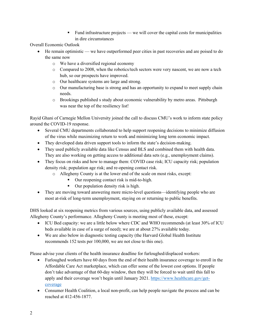■ Fund infrastructure projects — we will cover the capital costs for municipalities in dire circumstances

Overall Economic Outlook

- He remain optimistic we have outperformed peer cities in past recoveries and are poised to do the same now
	- o We have a diversified regional economy
	- o Compared to 2008, when the robotics/tech sectors were very nascent, we are now a tech hub, so our prospects have improved.
	- o Our healthcare systems are large and strong.
	- o Our manufacturing base is strong and has an opportunity to expand to meet supply chain needs.
	- o Brookings published s study about economic vulnerability by metro areas. Pittsburgh was near the top of the resiliency list!

Rayid Ghani of Carnegie Mellon University joined the call to discuss CMU's work to inform state policy around the COVID-19 response.

- Several CMU departments collaborated to help support reopening decisions to minimize diffusion of the virus while maximizing return to work and minimizing long term economic impact.
- They developed data driven support tools to inform the state's decision-making.
- They used publicly available data like Census and BLS and combined them with health data. They are also working on getting access to additional data sets (e.g., unemployment claims).
- They focus on risks and how to manage them: COVID case risk; ICU capacity risk; population density risk; population age risk; and re-opening contact risk.
	- o Allegheny County is at the lower end of the scale on most risks, except:
		- Our reopening contact risk is mid-to-high.
		- Our population density risk is high.
- They are moving toward answering more micro-level questions—identifying people who are most at-risk of long-term unemployment, staying on or returning to public benefits.

DHS looked at six reopening metrics from various sources, using publicly available data, and assessed Allegheny County's performance. Allegheny County is meeting most of these, except:

- ICU Bed capacity: we are a little below where CDC and WHO recommends (at least 30% of ICU beds available in case of a surge of need); we are at about 27% available today.
- We are also below in diagnostic testing capacity (the Harvard Global Health Institute recommends 152 tests per 100,000, we are not close to this one).

Please advise your clients of the health insurance deadline for furloughed/displaced workers:

- Furloughed workers have 60 days from the end of their health insurance coverage to enroll in the Affordable Care Act marketplace, which can offer some of the lowest cost options. If people don't take advantage of that 60-day window, then they will be forced to wait until this fall to apply and their coverage won't begin until January 2021. https://www.healthcare.gov/getcoverage
- Consumer Health Coalition, a local non-profit, can help people navigate the process and can be reached at 412-456-1877.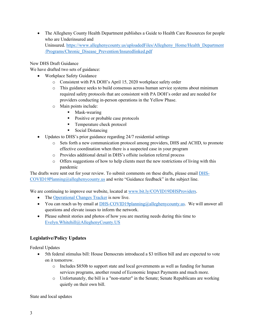• The Allegheny County Health Department publishes a Guide to Health Care Resources for people who are Underinsured and Uninsured. https://www.alleghenycounty.us/uploadedFiles/Allegheny\_Home/Health\_Department /Programs/Chronic\_Disease\_Prevention/Insuredlinked.pdf

New DHS Draft Guidance

We have drafted two sets of guidance:

- Workplace Safety Guidance
	- o Consistent with PA DOH's April 15, 2020 workplace safety order
	- o This guidance seeks to build consensus across human service systems about minimum required safety protocols that are consistent with PA DOH's order and are needed for providers conducting in-person operations in the Yellow Phase.
	- o Main points include:
		- Mask-wearing
		- Positive or probable case protocols
		- Temperature check protocol
		- Social Distancing
- Updates to DHS's prior guidance regarding 24/7 residential settings
	- o Sets forth a new communication protocol among providers, DHS and ACHD, to promote effective coordination when there is a suspected case in your program
	- o Provides additional detail in DHS's offsite isolation referral process
	- o Offers suggestions of how to help clients meet the new restrictions of living with this pandemic

The drafts were sent out for your review. To submit comments on these drafts, please email DHS-COVID19Planning@alleghenycounty.us and write "Guidance feedback" in the subject line.

We are continuing to improve our website, located at www.bit.ly/COVID19DHSProviders.

- The Operational Changes Tracker is now live.
- You can reach us by email at  $DHS-COVID19$  planning @allegheny county.us. We will answer all questions and elevate issues to inform the network.
- Please submit stories and photos of how you are meeting needs during this time to Evelyn.Whitehill@AlleghenyCounty.US

# **Legislative/Policy Updates**

Federal Updates

- 5th federal stimulus bill: House Democrats introduced a \$3 trillion bill and are expected to vote on it tomorrow.
	- o Includes \$850b to support state and local governments as well as funding for human services programs, another round of Economic Impact Payments and much more.
	- o Unfortunately, the bill is a "non-starter" in the Senate; Senate Republicans are working quietly on their own bill.

State and local updates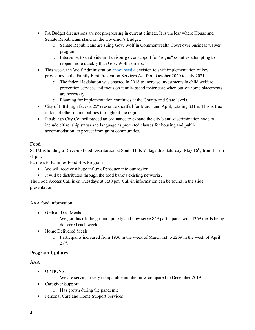- PA Budget discussions are not progressing in current climate. It is unclear where House and Senate Republicans stand on the Governor's Budget.
	- o Senate Republicans are suing Gov. Wolf in Commonwealth Court over business waiver program.
	- o Intense partisan divide in Harrisburg over support for "rogue" counties attempting to reopen more quickly than Gov. Wolf's orders.
- This week, the Wolf Administration announced a decision to shift implementation of key provisions in the Family First Prevention Services Act from October 2020 to July 2021.
	- $\circ$  The federal legislation was enacted in 2018 to increase investments in child welfare prevention services and focus on family-based foster care when out-of-home placements are necessary.
	- o Planning for implementation continues at the County and State levels.
- City of Pittsburgh faces a 25% revenue shortfall for March and April, totaling \$31m. This is true in lots of other municipalities throughout the region.
- Pittsburgh City Council passed an ordinance to expand the city's anti-discrimination code to include citizenship status and language as protected classes for housing and public accommodation, to protect immigrant communities.

# **Food**

SHIM is holding a Drive-up Food Distribution at South Hills Village this Saturday, May 16<sup>th</sup>, from 11 am -1 pm.

Farmers to Families Food Box Program

- We will receive a huge influx of produce into our region.
- It will be distributed through the food bank's existing networks.

The Food Access Call is on Tuesdays at 3:30 pm. Call-in information can be found in the slide presentation.

# AAA food information

- Grab and Go Meals
	- $\circ$  We got this off the ground quickly and now serve 849 participants with 4369 meals being delivered each week!
- Home Delivered Meals
	- o Participants increased from 1936 in the week of March 1st to 2269 in the week of April  $27<sup>th</sup>$ .

# **Program Updates**

# AAA

- OPTIONS
	- o We are serving a very comparable number now compared to December 2019.
- Caregiver Support
	- o Has grown during the pandemic
- Personal Care and Home Support Services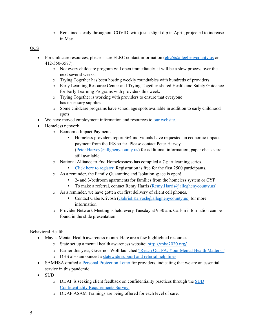o Remained steady throughout COVID, with just a slight dip in April; projected to increase in May

#### OCS

- For childcare resources, please share ELRC contact information ( $\text{elrc5}(a)$ alleghenycounty.us or 412-350-3577).
	- o Not every childcare program will open immediately, it will be a slow process over the next several weeks.
	- o Trying Together has been hosting weekly roundtables with hundreds of providers.
	- o Early Learning Resource Center and Trying Together shared Health and Safety Guidance for Early Learning Programs with providers this week.
	- o Trying Together is working with providers to ensure that everyone has necessary supplies.
	- o Some childcare programs have school age spots available in addition to early childhood spots.
- We have moved employment information and resources to our website.
- Homeless network
	- o Economic Impact Payments
		- Homeless providers report 364 individuals have requested an economic impact payment from the IRS so far. Please contact Peter Harvey (Peter.Harvey@allghenycounty.us) for additional information; paper checks are still available.
	- o National Alliance to End Homelessness has compiled a 7-part learning series.
		- § Click here to register. Registration is free for the first 2500 participants.
	- o As a reminder, the Family Quarantine and Isolation space is open!
		- § 2- and 3-bedroom apartments for families from the homeless system or CYF
		- To make a referral, contact Remy Harris (Remy.Harris@alleghenycounty.us).
	- o As a reminder, we have gotten our first delivery of client cell phones.
		- Contact Gabe Krivosh (Gabriel.Krivosh@alleghenycounty.us) for more information.
	- o Provider Network Meeting is held every Tuesday at 9:30 am. Call-in information can be found in the slide presentation.

# Behavioral Health

- May is Mental Health awareness month. Here are a few highlighted resources:
	- o State set up a mental health awareness website: http://mha2020.org/
	- o Earlier this year, Governor Wolf launched "Reach Out PA: Your Mental Health Matters."
	- o DHS also announced a statewide support and referral help lines
- SAMHSA drafted a Personal Protection Letter for providers, indicating that we are an essential service in this pandemic.
- SUD
	- o DDAP is seeking client feedback on confidentiality practices through the SUD Confidentiality Requirements Survey.
	- o DDAP ASAM Trainings are being offered for each level of care.